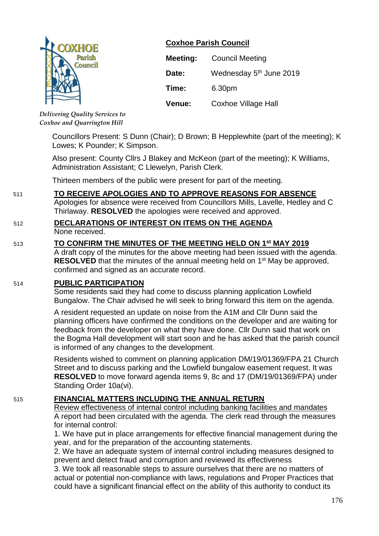

**Coxhoe Parish Council**

| Meeting: | <b>Council Meeting</b>              |
|----------|-------------------------------------|
| Date:    | Wednesday 5 <sup>th</sup> June 2019 |
| Time:    | 6.30pm                              |
| Venue:   | <b>Coxhoe Village Hall</b>          |

*Delivering Quality Services to Coxhoe and Quarrington Hill*

Councillors Present: S Dunn (Chair); D Brown; B Hepplewhite (part of the meeting); K Lowes; K Pounder; K Simpson.

Also present: County Cllrs J Blakey and McKeon (part of the meeting); K Williams, Administration Assistant; C Llewelyn, Parish Clerk.

Thirteen members of the public were present for part of the meeting.

# 511 **TO RECEIVE APOLOGIES AND TO APPROVE REASONS FOR ABSENCE**

Apologies for absence were received from Councillors Mills, Lavelle, Hedley and C Thirlaway. **RESOLVED** the apologies were received and approved.

# 512 **DECLARATIONS OF INTEREST ON ITEMS ON THE AGENDA**

None received.

#### 513 **TO CONFIRM THE MINUTES OF THE MEETING HELD ON 1 st MAY 2019**

A draft copy of the minutes for the above meeting had been issued with the agenda. **RESOLVED** that the minutes of the annual meeting held on 1<sup>st</sup> May be approved, confirmed and signed as an accurate record.

#### 514 **PUBLIC PARTICIPATION**

Some residents said they had come to discuss planning application Lowfield Bungalow. The Chair advised he will seek to bring forward this item on the agenda.

A resident requested an update on noise from the A1M and Cllr Dunn said the planning officers have confirmed the conditions on the developer and are waiting for feedback from the developer on what they have done. Cllr Dunn said that work on the Bogma Hall development will start soon and he has asked that the parish council is informed of any changes to the development.

Residents wished to comment on planning application DM/19/01369/FPA 21 Church Street and to discuss parking and the Lowfield bungalow easement request. It was **RESOLVED** to move forward agenda items 9, 8c and 17 (DM/19/01369/FPA) under Standing Order 10a(vi).

# 515 **FINANCIAL MATTERS INCLUDING THE ANNUAL RETURN**

Review effectiveness of internal control including banking facilities and mandates A report had been circulated with the agenda. The clerk read through the measures for internal control:

1. We have put in place arrangements for effective financial management during the year, and for the preparation of the accounting statements.

2. We have an adequate system of internal control including measures designed to prevent and detect fraud and corruption and reviewed its effectiveness

3. We took all reasonable steps to assure ourselves that there are no matters of actual or potential non-compliance with laws, regulations and Proper Practices that could have a significant financial effect on the ability of this authority to conduct its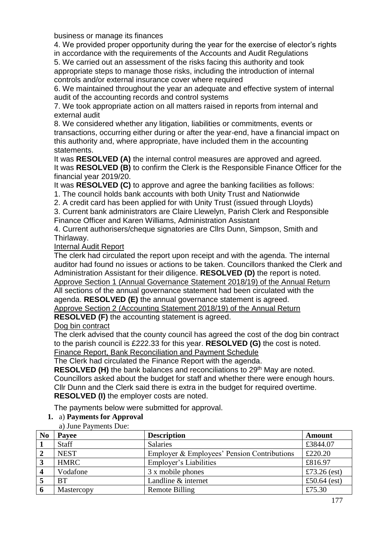business or manage its finances

4. We provided proper opportunity during the year for the exercise of elector's rights in accordance with the requirements of the Accounts and Audit Regulations

5. We carried out an assessment of the risks facing this authority and took appropriate steps to manage those risks, including the introduction of internal controls and/or external insurance cover where required

6. We maintained throughout the year an adequate and effective system of internal audit of the accounting records and control systems

7. We took appropriate action on all matters raised in reports from internal and external audit

8. We considered whether any litigation, liabilities or commitments, events or transactions, occurring either during or after the year-end, have a financial impact on this authority and, where appropriate, have included them in the accounting statements.

It was **RESOLVED (A)** the internal control measures are approved and agreed. It was **RESOLVED (B)** to confirm the Clerk is the Responsible Finance Officer for the financial year 2019/20.

It was **RESOLVED (C)** to approve and agree the banking facilities as follows:

1. The council holds bank accounts with both Unity Trust and Nationwide

2. A credit card has been applied for with Unity Trust (issued through Lloyds)

3. Current bank administrators are Claire Llewelyn, Parish Clerk and Responsible

Finance Officer and Karen Williams, Administration Assistant

4. Current authorisers/cheque signatories are Cllrs Dunn, Simpson, Smith and Thirlaway.

#### Internal Audit Report

The clerk had circulated the report upon receipt and with the agenda. The internal auditor had found no issues or actions to be taken. Councillors thanked the Clerk and Administration Assistant for their diligence. **RESOLVED (D)** the report is noted. Approve Section 1 (Annual Governance Statement 2018/19) of the Annual Return

All sections of the annual governance statement had been circulated with the agenda. **RESOLVED (E)** the annual governance statement is agreed.

Approve Section 2 (Accounting Statement 2018/19) of the Annual Return

**RESOLVED (F)** the accounting statement is agreed.

Dog bin contract

The clerk advised that the county council has agreed the cost of the dog bin contract to the parish council is £222.33 for this year. **RESOLVED (G)** the cost is noted. Finance Report, Bank Reconciliation and Payment Schedule

The Clerk had circulated the Finance Report with the agenda.

**RESOLVED (H)** the bank balances and reconciliations to 29<sup>th</sup> May are noted. Councillors asked about the budget for staff and whether there were enough hours. Cllr Dunn and the Clerk said there is extra in the budget for required overtime. **RESOLVED (I)** the employer costs are noted.

The payments below were submitted for approval.

#### **1.** a) **Payments for Approval**

a) June Payments Due:

| N <sub>0</sub> | Payee        | <b>Description</b>                          | Amount         |
|----------------|--------------|---------------------------------------------|----------------|
|                | <b>Staff</b> | <b>Salaries</b>                             | £3844.07       |
|                | <b>NEST</b>  | Employer & Employees' Pension Contributions | £220.20        |
|                | <b>HMRC</b>  | Employer's Liabilities                      | £816.97        |
|                | Vodafone     | 3 x mobile phones                           | £73.26 $(est)$ |
|                | <b>BT</b>    | Landline & internet                         | £50.64 $(est)$ |
|                | Mastercopy   | <b>Remote Billing</b>                       | £75.30         |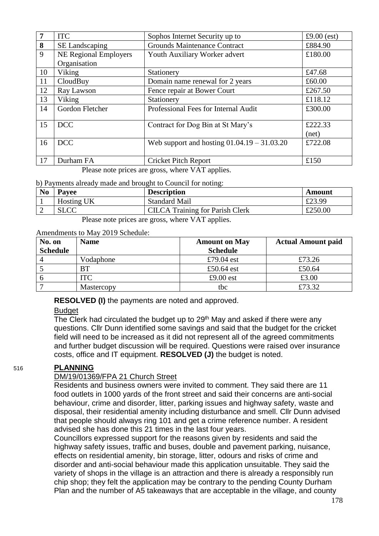| 7  | <b>ITC</b>                   | Sophos Internet Security up to                | £9.00 $(est)$ |
|----|------------------------------|-----------------------------------------------|---------------|
| 8  | SE Landscaping               | <b>Grounds Maintenance Contract</b>           | £884.90       |
| 9  | <b>NE Regional Employers</b> | Youth Auxiliary Worker advert                 | £180.00       |
|    | Organisation                 |                                               |               |
| 10 | Viking                       | Stationery                                    | £47.68        |
| 11 | CloudBuy                     | Domain name renewal for 2 years               | £60.00        |
| 12 | Ray Lawson                   | Fence repair at Bower Court                   | £267.50       |
| 13 | Viking                       | Stationery                                    | £118.12       |
| 14 | Gordon Fletcher              | Professional Fees for Internal Audit          | £300.00       |
| 15 | <b>DCC</b>                   | Contract for Dog Bin at St Mary's             | £222.33       |
|    |                              |                                               | net)          |
| 16 | <b>DCC</b>                   | Web support and hosting $01.04.19 - 31.03.20$ | £722.08       |
|    |                              |                                               |               |
| 17 | Durham FA                    | <b>Cricket Pitch Report</b>                   | £150          |

Please note prices are gross, where VAT applies.

#### b) Payments already made and brought to Council for noting:

| <b>No</b> | <b>Pavee</b>      | <b>Description</b>                     | Amount  |
|-----------|-------------------|----------------------------------------|---------|
|           | <b>Hosting UK</b> | <b>Standard Mail</b>                   | £23.99  |
|           | <b>SLCC</b>       | <b>CILCA</b> Training for Parish Clerk | £250.00 |

Please note prices are gross, where VAT applies.

#### Amendments to May 2019 Schedule:

| No. on          | <b>Name</b> | <b>Amount on May</b> | <b>Actual Amount paid</b> |
|-----------------|-------------|----------------------|---------------------------|
| <b>Schedule</b> |             | <b>Schedule</b>      |                           |
|                 | Vodaphone   | £79.04 est           | £73.26                    |
|                 | <b>BT</b>   | £50.64 $est$         | £50.64                    |
|                 | ITC         | £9.00 $est$          | £3.00                     |
|                 | Mastercopy  | tbc                  | £73.32                    |

**RESOLVED (I)** the payments are noted and approved.

#### **Budget**

The Clerk had circulated the budget up to 29<sup>th</sup> May and asked if there were any questions. Cllr Dunn identified some savings and said that the budget for the cricket field will need to be increased as it did not represent all of the agreed commitments and further budget discussion will be required. Questions were raised over insurance costs, office and IT equipment. **RESOLVED (J)** the budget is noted.

#### 516 **PLANNING**

#### DM/19/01369/FPA 21 Church Street

Residents and business owners were invited to comment. They said there are 11 food outlets in 1000 yards of the front street and said their concerns are anti-social behaviour, crime and disorder, litter, parking issues and highway safety, waste and disposal, their residential amenity including disturbance and smell. Cllr Dunn advised that people should always ring 101 and get a crime reference number. A resident advised she has done this 21 times in the last four years.

Councillors expressed support for the reasons given by residents and said the highway safety issues, traffic and buses, double and pavement parking, nuisance, effects on residential amenity, bin storage, litter, odours and risks of crime and disorder and anti-social behaviour made this application unsuitable. They said the variety of shops in the village is an attraction and there is already a responsibly run chip shop; they felt the application may be contrary to the pending County Durham Plan and the number of A5 takeaways that are acceptable in the village, and county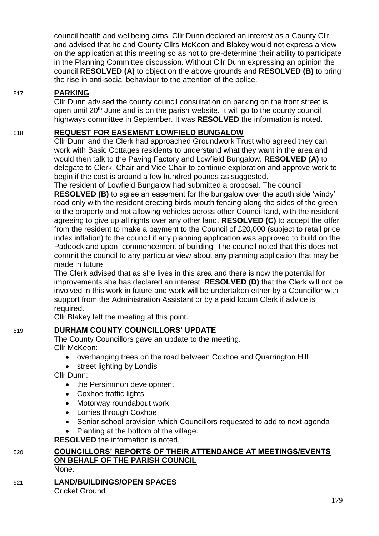council health and wellbeing aims. Cllr Dunn declared an interest as a County Cllr and advised that he and County Cllrs McKeon and Blakey would not express a view on the application at this meeting so as not to pre-determine their ability to participate in the Planning Committee discussion. Without Cllr Dunn expressing an opinion the council **RESOLVED (A)** to object on the above grounds and **RESOLVED (B)** to bring the rise in anti-social behaviour to the attention of the police.

# 517 **PARKING**

Cllr Dunn advised the county council consultation on parking on the front street is open until 20<sup>th</sup> June and is on the parish website. It will go to the county council highways committee in September. It was **RESOLVED** the information is noted.

# 518 **REQUEST FOR EASEMENT LOWFIELD BUNGALOW**

Cllr Dunn and the Clerk had approached Groundwork Trust who agreed they can work with Basic Cottages residents to understand what they want in the area and would then talk to the Paving Factory and Lowfield Bungalow. **RESOLVED (A)** to delegate to Clerk, Chair and Vice Chair to continue exploration and approve work to begin if the cost is around a few hundred pounds as suggested.

The resident of Lowfield Bungalow had submitted a proposal. The council **RESOLVED (B)** to agree an easement for the bungalow over the south side 'windy' road only with the resident erecting birds mouth fencing along the sides of the green to the property and not allowing vehicles across other Council land, with the resident agreeing to give up all rights over any other land. **RESOLVED (C)** to accept the offer from the resident to make a payment to the Council of £20,000 (subject to retail price index inflation) to the council if any planning application was approved to build on the Paddock and upon commencement of building The council noted that this does not commit the council to any particular view about any planning application that may be made in future.

The Clerk advised that as she lives in this area and there is now the potential for improvements she has declared an interest. **RESOLVED (D)** that the Clerk will not be involved in this work in future and work will be undertaken either by a Councillor with support from the Administration Assistant or by a paid locum Clerk if advice is required.

Cllr Blakey left the meeting at this point.

# 519 **DURHAM COUNTY COUNCILLORS' UPDATE**

The County Councillors gave an update to the meeting. Cllr McKeon:

- overhanging trees on the road between Coxhoe and Quarrington Hill
- street lighting by Londis

Cllr Dunn:

- the Persimmon development
- Coxhoe traffic lights
- Motorway roundabout work
- Lorries through Coxhoe
- Senior school provision which Councillors requested to add to next agenda
- Planting at the bottom of the village.

**RESOLVED** the information is noted.

# 520 **COUNCILLORS' REPORTS OF THEIR ATTENDANCE AT MEETINGS/EVENTS ON BEHALF OF THE PARISH COUNCIL**

None.

# 521 **LAND/BUILDINGS/OPEN SPACES** Cricket Ground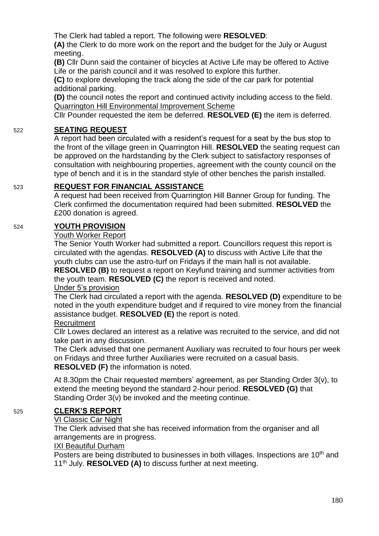The Clerk had tabled a report. The following were **RESOLVED**:

**(A)** the Clerk to do more work on the report and the budget for the July or August meeting.

**(B)** Cllr Dunn said the container of bicycles at Active Life may be offered to Active Life or the parish council and it was resolved to explore this further.

**(C)** to explore developing the track along the side of the car park for potential additional parking.

**(D)** the council notes the report and continued activity including access to the field. Quarrington Hill Environmental Improvement Scheme

Cllr Pounder requested the item be deferred. **RESOLVED (E)** the item is deferred.

# 522 **SEATING REQUEST**

A report had been circulated with a resident's request for a seat by the bus stop to the front of the village green in Quarrington Hill. **RESOLVED** the seating request can be approved on the hardstanding by the Clerk subject to satisfactory responses of consultation with neighbouring properties, agreement with the county council on the type of bench and it is in the standard style of other benches the parish installed.

# 523 **REQUEST FOR FINANCIAL ASSISTANCE**

A request had been received from Quarrington Hill Banner Group for funding. The Clerk confirmed the documentation required had been submitted. **RESOLVED** the £200 donation is agreed.

# 524 **YOUTH PROVISION**

#### Youth Worker Report

The Senior Youth Worker had submitted a report. Councillors request this report is circulated with the agendas. **RESOLVED (A)** to discuss with Active Life that the youth clubs can use the astro-turf on Fridays if the main hall is not available. **RESOLVED (B)** to request a report on Keyfund training and summer activities from the youth team. **RESOLVED (C)** the report is received and noted.

#### Under 5's provision

The Clerk had circulated a report with the agenda. **RESOLVED (D)** expenditure to be noted in the youth expenditure budget and if required to vire money from the financial assistance budget. **RESOLVED (E)** the report is noted.

#### **Recruitment**

Cllr Lowes declared an interest as a relative was recruited to the service, and did not take part in any discussion.

The Clerk advised that one permanent Auxiliary was recruited to four hours per week on Fridays and three further Auxiliaries were recruited on a casual basis. **RESOLVED (F)** the information is noted.

At 8.30pm the Chair requested members' agreement, as per Standing Order 3(v), to extend the meeting beyond the standard 2-hour period. **RESOLVED (G)** that Standing Order 3(v) be invoked and the meeting continue.

#### 525 **CLERK'S REPORT**

#### VI Classic Car Night

The Clerk advised that she has received information from the organiser and all arrangements are in progress.

#### IXI Beautiful Durham

Posters are being distributed to businesses in both villages. Inspections are 10<sup>th</sup> and 11th July. **RESOLVED (A)** to discuss further at next meeting.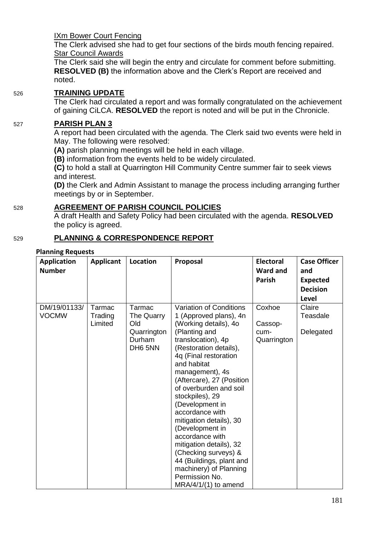IXm Bower Court Fencing

The Clerk advised she had to get four sections of the birds mouth fencing repaired. **Star Council Awards** 

The Clerk said she will begin the entry and circulate for comment before submitting. **RESOLVED (B)** the information above and the Clerk's Report are received and noted.

#### 526 **TRAINING UPDATE**

The Clerk had circulated a report and was formally congratulated on the achievement of gaining CiLCA. **RESOLVED** the report is noted and will be put in the Chronicle.

#### 527 **PARISH PLAN 3**

A report had been circulated with the agenda. The Clerk said two events were held in May. The following were resolved:

**(A)** parish planning meetings will be held in each village.

**(B)** information from the events held to be widely circulated.

**(C)** to hold a stall at Quarrington Hill Community Centre summer fair to seek views and interest.

**(D)** the Clerk and Admin Assistant to manage the process including arranging further meetings by or in September.

#### 528 **AGREEMENT OF PARISH COUNCIL POLICIES**

A draft Health and Safety Policy had been circulated with the agenda. **RESOLVED** the policy is agreed.

# 529 **PLANNING & CORRESPONDENCE REPORT**

#### **Planning Requests**

| <b>Number</b>                |                              |                                                                 |                                                                                                                                                                                                                                                                                                                                                                                                                                                                                                                    | <b>Electoral</b>                         | <b>Case Officer</b>             |
|------------------------------|------------------------------|-----------------------------------------------------------------|--------------------------------------------------------------------------------------------------------------------------------------------------------------------------------------------------------------------------------------------------------------------------------------------------------------------------------------------------------------------------------------------------------------------------------------------------------------------------------------------------------------------|------------------------------------------|---------------------------------|
|                              |                              |                                                                 |                                                                                                                                                                                                                                                                                                                                                                                                                                                                                                                    | Ward and                                 | and                             |
|                              |                              |                                                                 |                                                                                                                                                                                                                                                                                                                                                                                                                                                                                                                    | <b>Parish</b>                            | <b>Expected</b>                 |
|                              |                              |                                                                 |                                                                                                                                                                                                                                                                                                                                                                                                                                                                                                                    |                                          | <b>Decision</b>                 |
|                              |                              |                                                                 |                                                                                                                                                                                                                                                                                                                                                                                                                                                                                                                    |                                          | Level                           |
| DM/19/01133/<br><b>VOCMW</b> | Tarmac<br>Trading<br>Limited | Tarmac<br>The Quarry<br>Old<br>Quarrington<br>Durham<br>DH6 5NN | Variation of Conditions<br>1 (Approved plans), 4n<br>(Working details), 4o<br>(Planting and<br>translocation), 4p<br>(Restoration details),<br>4q (Final restoration<br>and habitat<br>management), 4s<br>(Aftercare), 27 (Position<br>of overburden and soil<br>stockpiles), 29<br>(Development in<br>accordance with<br>mitigation details), 30<br>(Development in<br>accordance with<br>mitigation details), 32<br>(Checking surveys) &<br>44 (Buildings, plant and<br>machinery) of Planning<br>Permission No. | Coxhoe<br>Cassop-<br>cum-<br>Quarrington | Claire<br>Teasdale<br>Delegated |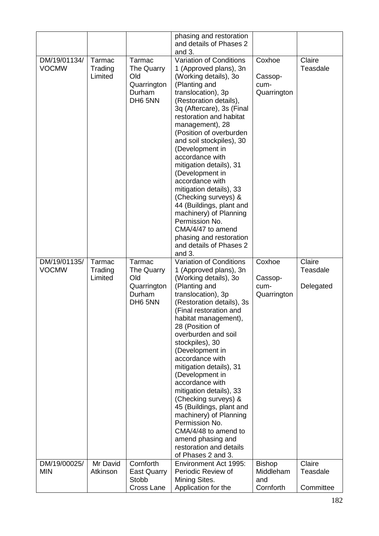|                              |                              |                                                                 | phasing and restoration<br>and details of Phases 2<br>and 3.                                                                                                                                                                                                                                                                                                                                                                                                                                                                                                                                         |                                          |                                 |
|------------------------------|------------------------------|-----------------------------------------------------------------|------------------------------------------------------------------------------------------------------------------------------------------------------------------------------------------------------------------------------------------------------------------------------------------------------------------------------------------------------------------------------------------------------------------------------------------------------------------------------------------------------------------------------------------------------------------------------------------------------|------------------------------------------|---------------------------------|
| DM/19/01134/<br><b>VOCMW</b> | Tarmac<br>Trading<br>Limited | Tarmac<br>The Quarry<br>Old<br>Quarrington<br>Durham<br>DH6 5NN | Variation of Conditions<br>1 (Approved plans), 3n<br>(Working details), 30<br>(Planting and<br>translocation), 3p<br>(Restoration details),<br>3q (Aftercare), 3s (Final<br>restoration and habitat<br>management), 28<br>(Position of overburden<br>and soil stockpiles), 30<br>(Development in<br>accordance with<br>mitigation details), 31<br>(Development in<br>accordance with<br>mitigation details), 33<br>(Checking surveys) &<br>44 (Buildings, plant and<br>machinery) of Planning<br>Permission No.<br>CMA/4/47 to amend<br>phasing and restoration<br>and details of Phases 2<br>and 3. | Coxhoe<br>Cassop-<br>cum-<br>Quarrington | Claire<br>Teasdale              |
| DM/19/01135/<br><b>VOCMW</b> | Tarmac<br>Trading<br>Limited | Tarmac<br>The Quarry<br>Old<br>Quarrington<br>Durham<br>DH6 5NN | Variation of Conditions<br>1 (Approved plans), 3n<br>(Working details), 30<br>(Planting and<br>translocation), 3p<br>(Restoration details), 3s<br>(Final restoration and<br>habitat management),<br>28 (Position of<br>overburden and soil<br>stockpiles), 30<br>(Development in<br>accordance with<br>mitigation details), 31<br>(Development in<br>accordance with<br>mitigation details), 33<br>(Checking surveys) &<br>45 (Buildings, plant and<br>machinery) of Planning<br>Permission No.<br>CMA/4/48 to amend to<br>amend phasing and<br>restoration and details<br>of Phases 2 and 3.        | Coxhoe<br>Cassop-<br>cum-<br>Quarrington | Claire<br>Teasdale<br>Delegated |
| DM/19/00025/                 | Mr David                     | Cornforth                                                       | Environment Act 1995:                                                                                                                                                                                                                                                                                                                                                                                                                                                                                                                                                                                | <b>Bishop</b>                            | Claire                          |
| <b>MIN</b>                   | Atkinson                     | <b>East Quarry</b><br>Stobb<br>Cross Lane                       | Periodic Review of<br>Mining Sites.<br>Application for the                                                                                                                                                                                                                                                                                                                                                                                                                                                                                                                                           | Middleham<br>and<br>Cornforth            | Teasdale<br>Committee           |
|                              |                              |                                                                 |                                                                                                                                                                                                                                                                                                                                                                                                                                                                                                                                                                                                      |                                          |                                 |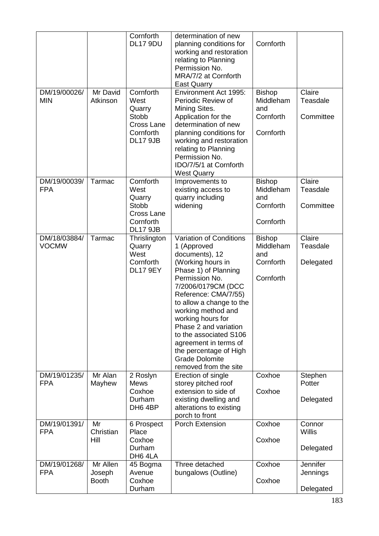| DM/19/00026/<br><b>MIN</b>   | Mr David<br>Atkinson               | Cornforth<br>DL17 9DU<br>Cornforth<br>West<br>Quarry<br><b>Stobb</b>                      | determination of new<br>planning conditions for<br>working and restoration<br>relating to Planning<br>Permission No.<br>MRA/7/2 at Cornforth<br><b>East Quarry</b><br>Environment Act 1995:<br>Periodic Review of<br>Mining Sites.<br>Application for the                                                                                                                                            | Cornforth<br><b>Bishop</b><br>Middleham<br>and<br>Cornforth | Claire<br>Teasdale<br>Committee      |
|------------------------------|------------------------------------|-------------------------------------------------------------------------------------------|------------------------------------------------------------------------------------------------------------------------------------------------------------------------------------------------------------------------------------------------------------------------------------------------------------------------------------------------------------------------------------------------------|-------------------------------------------------------------|--------------------------------------|
|                              |                                    | Cross Lane<br>Cornforth<br><b>DL17 9JB</b>                                                | determination of new<br>planning conditions for<br>working and restoration<br>relating to Planning<br>Permission No.<br>IDO/7/5/1 at Cornforth<br><b>West Quarry</b>                                                                                                                                                                                                                                 | Cornforth                                                   |                                      |
| DM/19/00039/<br><b>FPA</b>   | Tarmac                             | Cornforth<br>West<br>Quarry<br><b>Stobb</b><br>Cross Lane<br>Cornforth<br><b>DL17 9JB</b> | Improvements to<br>existing access to<br>quarry including<br>widening                                                                                                                                                                                                                                                                                                                                | <b>Bishop</b><br>Middleham<br>and<br>Cornforth<br>Cornforth | Claire<br>Teasdale<br>Committee      |
| DM/18/03884/<br><b>VOCMW</b> | Tarmac                             | Thrislington<br>Quarry<br>West<br>Cornforth<br><b>DL17 9EY</b>                            | Variation of Conditions<br>1 (Approved<br>documents), 12<br>(Working hours in<br>Phase 1) of Planning<br>Permission No.<br>7/2006/0179CM (DCC<br>Reference: CMA/7/55)<br>to allow a change to the<br>working method and<br>working hours for<br>Phase 2 and variation<br>to the associated S106<br>agreement in terms of<br>the percentage of High<br><b>Grade Dolomite</b><br>removed from the site | <b>Bishop</b><br>Middleham<br>and<br>Cornforth<br>Cornforth | Claire<br>Teasdale<br>Delegated      |
| DM/19/01235/<br><b>FPA</b>   | Mr Alan<br>Mayhew                  | 2 Roslyn<br><b>Mews</b><br>Coxhoe<br>Durham<br>DH6 4BP                                    | Erection of single<br>storey pitched roof<br>extension to side of<br>existing dwelling and<br>alterations to existing<br>porch to front                                                                                                                                                                                                                                                              | Coxhoe<br>Coxhoe                                            | Stephen<br>Potter<br>Delegated       |
| DM/19/01391/<br><b>FPA</b>   | Mr<br>Christian<br>Hill            | 6 Prospect<br>Place<br>Coxhoe<br>Durham<br>DH6 4LA                                        | Porch Extension                                                                                                                                                                                                                                                                                                                                                                                      | Coxhoe<br>Coxhoe                                            | Connor<br><b>Willis</b><br>Delegated |
| DM/19/01268/<br><b>FPA</b>   | Mr Allen<br>Joseph<br><b>Booth</b> | 45 Bogma<br>Avenue<br>Coxhoe<br>Durham                                                    | Three detached<br>bungalows (Outline)                                                                                                                                                                                                                                                                                                                                                                | Coxhoe<br>Coxhoe                                            | Jennifer<br>Jennings<br>Delegated    |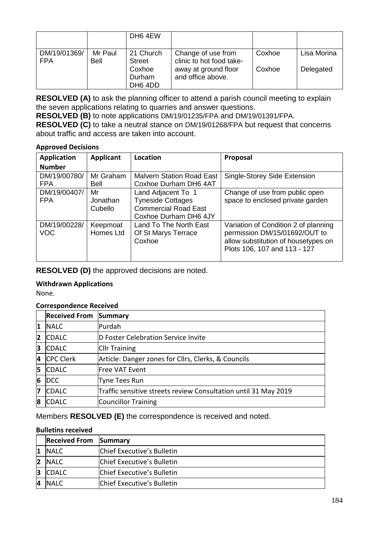|                            |                        | DH <sub>6</sub> 4EW         |                                                |        |             |
|----------------------------|------------------------|-----------------------------|------------------------------------------------|--------|-------------|
| DM/19/01369/<br><b>FPA</b> | Mr Paul<br><b>Bell</b> | 21 Church<br><b>Street</b>  | Change of use from<br>clinic to hot food take- | Coxhoe | Lisa Morina |
|                            |                        | Coxhoe<br>Durham<br>DH6 4DD | away at ground floor<br>and office above.      | Coxhoe | Delegated   |

**RESOLVED (A)** to ask the planning officer to attend a parish council meeting to explain the seven applications relating to quarries and answer questions.

**RESOLVED (B)** to note applications DM/19/01235/FPA and DM/19/01391/FPA.

**RESOLVED (C)** to take a neutral stance on DM/19/01268/FPA but request that concerns about traffic and access are taken into account.

#### **Approved Decisions**

| <b>Application</b>         | <b>Applicant</b>             | Location                                                                                               | Proposal                                                                                                                                     |
|----------------------------|------------------------------|--------------------------------------------------------------------------------------------------------|----------------------------------------------------------------------------------------------------------------------------------------------|
| <b>Number</b>              |                              |                                                                                                        |                                                                                                                                              |
| DM/19/00780/<br><b>FPA</b> | Mr Graham<br><b>Bell</b>     | <b>Malvern Station Road East</b><br>Coxhoe Durham DH6 4AT                                              | Single-Storey Side Extension                                                                                                                 |
| DM/19/00407/<br><b>FPA</b> | Mr<br>Jonathan<br>Cubello    | Land Adjacent To 1<br><b>Tyneside Cottages</b><br><b>Commercial Road East</b><br>Coxhoe Durham DH6 4JY | Change of use from public open<br>space to enclosed private garden                                                                           |
| DM/19/00228/<br><b>VOC</b> | Keepmoat<br><b>Homes Ltd</b> | Land To The North East<br>Of St Marys Terrace<br>Coxhoe                                                | Variation of Condition 2 of planning<br>permission DM/15/01692/OUT to<br>allow substitution of housetypes on<br>Plots 106, 107 and 113 - 127 |

**RESOLVED (D)** the approved decisions are noted.

#### **Withdrawn Applications**

None.

#### **Correspondence Received**

|                | <b>Received From</b> | Summary                                                         |
|----------------|----------------------|-----------------------------------------------------------------|
| 1              | <b>NALC</b>          | Purdah                                                          |
| $\overline{2}$ | <b>CDALC</b>         | D Foster Celebration Service Invite                             |
| 3              | <b>CDALC</b>         | <b>Cllr Training</b>                                            |
| 4              | <b>CPC Clerk</b>     | Article: Danger zones for Cllrs, Clerks, & Councils             |
| 15             | <b>CDALC</b>         | Free VAT Event                                                  |
| 6              | <b>DCC</b>           | Tyne Tees Run                                                   |
| 7              | <b>CDALC</b>         | Traffic sensitive streets review Consultation until 31 May 2019 |
| 8              | <b>CDALC</b>         | Councillor Training                                             |

Members **RESOLVED (E)** the correspondence is received and noted.

#### **Bulletins received**

|    | <b>Received From Summary</b> |                            |
|----|------------------------------|----------------------------|
|    | <b>INALC</b>                 | Chief Executive's Bulletin |
| 12 | <b>INALC</b>                 | Chief Executive's Bulletin |
| 13 | <b>CDALC</b>                 | Chief Executive's Bulletin |
| 4  | <b>NALC</b>                  | Chief Executive's Bulletin |